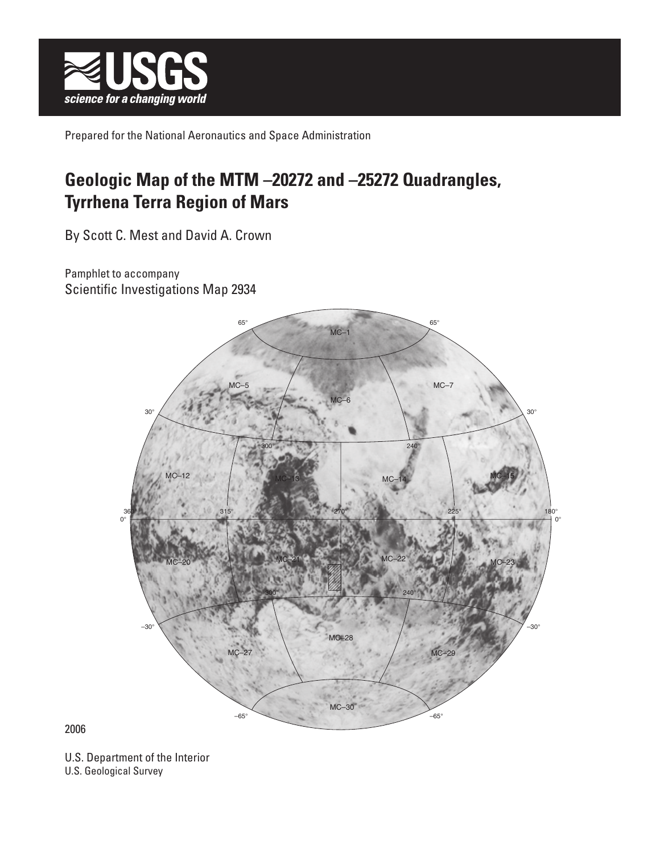

Prepared for the National Aeronautics and Space Administration

# **Geologic Map of the MTM –20272 and –25272 Quadrangles, Tyrrhena Terra Region of Mars**

By Scott C. Mest and David A. Crown

Pamphlet to accompany Scientific Investigations Map 2934



2006

U.S. Department of the Interior U.S. Geological Survey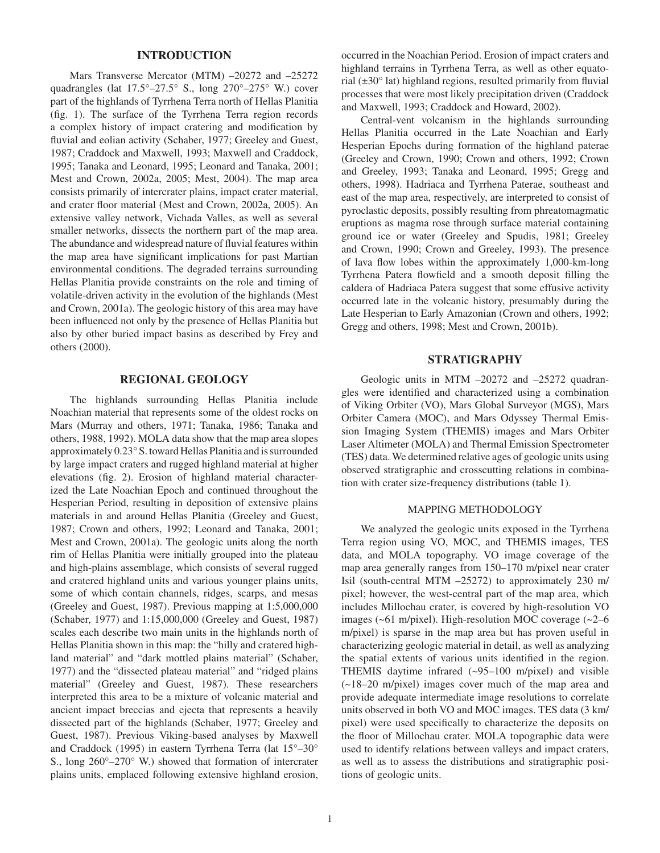# **INTRODUCTION**

Mars Transverse Mercator (MTM) –20272 and –25272 quadrangles (lat 17.5°–27.5° S., long 270°–275° W.) cover part of the highlands of Tyrrhena Terra north of Hellas Planitia (fig. 1). The surface of the Tyrrhena Terra region records a complex history of impact cratering and modification by fluvial and eolian activity (Schaber, 1977; Greeley and Guest, 1987; Craddock and Maxwell, 1993; Maxwell and Craddock, 1995; Tanaka and Leonard, 1995; Leonard and Tanaka, 2001; Mest and Crown, 2002a, 2005; Mest, 2004). The map area consists primarily of intercrater plains, impact crater material, and crater floor material (Mest and Crown, 2002a, 2005). An extensive valley network, Vichada Valles, as well as several smaller networks, dissects the northern part of the map area. The abundance and widespread nature of fluvial features within the map area have significant implications for past Martian environmental conditions. The degraded terrains surrounding Hellas Planitia provide constraints on the role and timing of volatile-driven activity in the evolution of the highlands (Mest and Crown, 2001a). The geologic history of this area may have been influenced not only by the presence of Hellas Planitia but also by other buried impact basins as described by Frey and others (2000).

## **REGIONAL GEOLOGY**

The highlands surrounding Hellas Planitia include Noachian material that represents some of the oldest rocks on Mars (Murray and others, 1971; Tanaka, 1986; Tanaka and others, 1988, 1992). MOLA data show that the map area slopes approximately 0.23° S. toward Hellas Planitia and is surrounded by large impact craters and rugged highland material at higher elevations (fig. 2). Erosion of highland material characterized the Late Noachian Epoch and continued throughout the Hesperian Period, resulting in deposition of extensive plains materials in and around Hellas Planitia (Greeley and Guest, 1987; Crown and others, 1992; Leonard and Tanaka, 2001; Mest and Crown, 2001a). The geologic units along the north rim of Hellas Planitia were initially grouped into the plateau and high-plains assemblage, which consists of several rugged and cratered highland units and various younger plains units, some of which contain channels, ridges, scarps, and mesas (Greeley and Guest, 1987). Previous mapping at 1:5,000,000 (Schaber, 1977) and 1:15,000,000 (Greeley and Guest, 1987) scales each describe two main units in the highlands north of Hellas Planitia shown in this map: the "hilly and cratered highland material" and "dark mottled plains material" (Schaber, 1977) and the "dissected plateau material" and "ridged plains material" (Greeley and Guest, 1987). These researchers interpreted this area to be a mixture of volcanic material and ancient impact breccias and ejecta that represents a heavily dissected part of the highlands (Schaber, 1977; Greeley and Guest, 1987). Previous Viking-based analyses by Maxwell and Craddock (1995) in eastern Tyrrhena Terra (lat 15°–30° S., long 260°–270° W.) showed that formation of intercrater plains units, emplaced following extensive highland erosion, occurred in the Noachian Period. Erosion of impact craters and highland terrains in Tyrrhena Terra, as well as other equatorial (±30° lat) highland regions, resulted primarily from fluvial processes that were most likely precipitation driven (Craddock and Maxwell, 1993; Craddock and Howard, 2002).

Central-vent volcanism in the highlands surrounding Hellas Planitia occurred in the Late Noachian and Early Hesperian Epochs during formation of the highland paterae (Greeley and Crown, 1990; Crown and others, 1992; Crown and Greeley, 1993; Tanaka and Leonard, 1995; Gregg and others, 1998). Hadriaca and Tyrrhena Paterae, southeast and east of the map area, respectively, are interpreted to consist of pyroclastic deposits, possibly resulting from phreatomagmatic eruptions as magma rose through surface material containing ground ice or water (Greeley and Spudis, 1981; Greeley and Crown, 1990; Crown and Greeley, 1993). The presence of lava flow lobes within the approximately 1,000-km-long Tyrrhena Patera flowfield and a smooth deposit filling the caldera of Hadriaca Patera suggest that some effusive activity occurred late in the volcanic history, presumably during the Late Hesperian to Early Amazonian (Crown and others, 1992; Gregg and others, 1998; Mest and Crown, 2001b).

# **STRATIGRAPHY**

Geologic units in MTM –20272 and –25272 quadrangles were identified and characterized using a combination of Viking Orbiter (VO), Mars Global Surveyor (MGS), Mars Orbiter Camera (MOC), and Mars Odyssey Thermal Emission Imaging System (THEMIS) images and Mars Orbiter Laser Altimeter (MOLA) and Thermal Emission Spectrometer (TES) data. We determined relative ages of geologic units using observed stratigraphic and crosscutting relations in combination with crater size-frequency distributions (table 1).

# MAPPING METHODOLOGY

We analyzed the geologic units exposed in the Tyrrhena Terra region using VO, MOC, and THEMIS images, TES data, and MOLA topography. VO image coverage of the map area generally ranges from 150–170 m/pixel near crater Isil (south-central MTM –25272) to approximately 230 m/ pixel; however, the west-central part of the map area, which includes Millochau crater, is covered by high-resolution VO images ( $\sim$ 61 m/pixel). High-resolution MOC coverage ( $\sim$ 2–6 m/pixel) is sparse in the map area but has proven useful in characterizing geologic material in detail, as well as analyzing the spatial extents of various units identified in the region. THEMIS daytime infrared (~95–100 m/pixel) and visible (~18–20 m/pixel) images cover much of the map area and provide adequate intermediate image resolutions to correlate units observed in both VO and MOC images. TES data (3 km/ pixel) were used specifically to characterize the deposits on the floor of Millochau crater. MOLA topographic data were used to identify relations between valleys and impact craters, as well as to assess the distributions and stratigraphic positions of geologic units.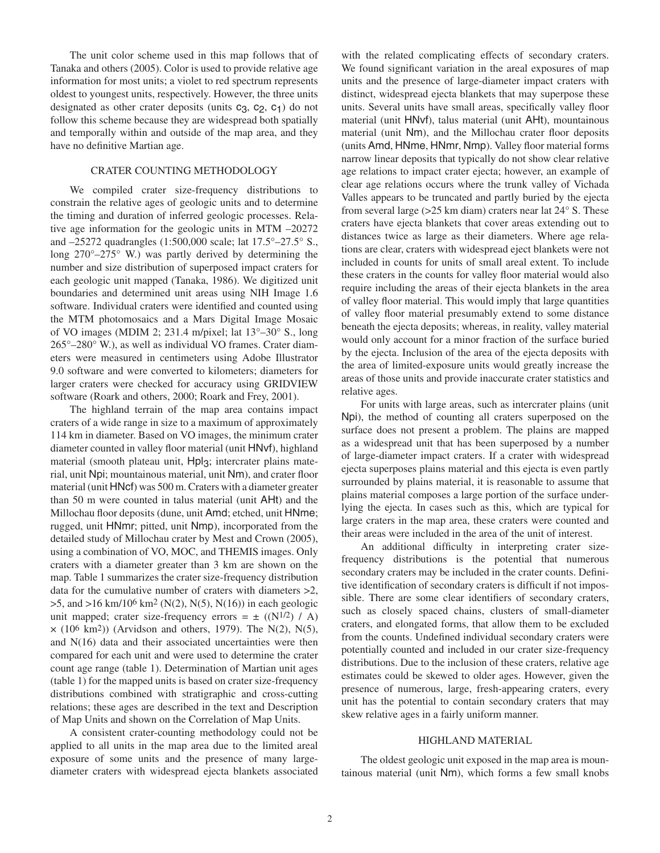The unit color scheme used in this map follows that of Tanaka and others (2005). Color is used to provide relative age information for most units; a violet to red spectrum represents oldest to youngest units, respectively. However, the three units designated as other crater deposits (units  $c_3$ ,  $c_2$ ,  $c_1$ ) do not follow this scheme because they are widespread both spatially and temporally within and outside of the map area, and they have no definitive Martian age.

## CRATER COUNTING METHODOLOGY

We compiled crater size-frequency distributions to constrain the relative ages of geologic units and to determine the timing and duration of inferred geologic processes. Relative age information for the geologic units in MTM –20272 and –25272 quadrangles (1:500,000 scale; lat 17.5°–27.5° S., long 270°–275° W.) was partly derived by determining the number and size distribution of superposed impact craters for each geologic unit mapped (Tanaka, 1986). We digitized unit boundaries and determined unit areas using NIH Image 1.6 software. Individual craters were identified and counted using the MTM photomosaics and a Mars Digital Image Mosaic of VO images (MDIM 2; 231.4 m/pixel; lat 13°–30° S., long 265°–280° W.), as well as individual VO frames. Crater diameters were measured in centimeters using Adobe Illustrator 9.0 software and were converted to kilometers; diameters for larger craters were checked for accuracy using GRIDVIEW software (Roark and others, 2000; Roark and Frey, 2001).

The highland terrain of the map area contains impact craters of a wide range in size to a maximum of approximately 114 km in diameter. Based on VO images, the minimum crater diameter counted in valley floor material (unit HNvf), highland material (smooth plateau unit, Hpl3; intercrater plains material, unit Npi; mountainous material, unit Nm), and crater floor material (unit HNcf) was 500 m. Craters with a diameter greater than 50 m were counted in talus material (unit AHt) and the Millochau floor deposits (dune, unit Amd; etched, unit HNme; rugged, unit HNmr; pitted, unit Nmp), incorporated from the detailed study of Millochau crater by Mest and Crown (2005), using a combination of VO, MOC, and THEMIS images. Only craters with a diameter greater than 3 km are shown on the map. Table 1 summarizes the crater size-frequency distribution data for the cumulative number of craters with diameters >2,  $>$ 5, and  $>$ 16 km/10<sup>6</sup> km<sup>2</sup> (N(2), N(5), N(16)) in each geologic unit mapped; crater size-frequency errors =  $\pm$  ((N<sup>1/2</sup>) / A)  $\times$  (10<sup>6</sup> km<sup>2</sup>)) (Arvidson and others, 1979). The N(2), N(5), and N(16) data and their associated uncertainties were then compared for each unit and were used to determine the crater count age range (table 1). Determination of Martian unit ages (table 1) for the mapped units is based on crater size-frequency distributions combined with stratigraphic and cross-cutting relations; these ages are described in the text and Description of Map Units and shown on the Correlation of Map Units.

A consistent crater-counting methodology could not be applied to all units in the map area due to the limited areal exposure of some units and the presence of many largediameter craters with widespread ejecta blankets associated

with the related complicating effects of secondary craters. We found significant variation in the areal exposures of map units and the presence of large-diameter impact craters with distinct, widespread ejecta blankets that may superpose these units. Several units have small areas, specifically valley floor material (unit HNvf), talus material (unit AHt), mountainous material (unit Nm), and the Millochau crater floor deposits (units Amd, HNme, HNmr, Nmp). Valley floor material forms narrow linear deposits that typically do not show clear relative age relations to impact crater ejecta; however, an example of clear age relations occurs where the trunk valley of Vichada Valles appears to be truncated and partly buried by the ejecta from several large (>25 km diam) craters near lat 24° S. These craters have ejecta blankets that cover areas extending out to distances twice as large as their diameters. Where age relations are clear, craters with widespread eject blankets were not included in counts for units of small areal extent. To include these craters in the counts for valley floor material would also require including the areas of their ejecta blankets in the area of valley floor material. This would imply that large quantities of valley floor material presumably extend to some distance beneath the ejecta deposits; whereas, in reality, valley material would only account for a minor fraction of the surface buried by the ejecta. Inclusion of the area of the ejecta deposits with the area of limited-exposure units would greatly increase the areas of those units and provide inaccurate crater statistics and relative ages.

For units with large areas, such as intercrater plains (unit Npi), the method of counting all craters superposed on the surface does not present a problem. The plains are mapped as a widespread unit that has been superposed by a number of large-diameter impact craters. If a crater with widespread ejecta superposes plains material and this ejecta is even partly surrounded by plains material, it is reasonable to assume that plains material composes a large portion of the surface underlying the ejecta. In cases such as this, which are typical for large craters in the map area, these craters were counted and their areas were included in the area of the unit of interest.

An additional difficulty in interpreting crater sizefrequency distributions is the potential that numerous secondary craters may be included in the crater counts. Definitive identification of secondary craters is difficult if not impossible. There are some clear identifiers of secondary craters, such as closely spaced chains, clusters of small-diameter craters, and elongated forms, that allow them to be excluded from the counts. Undefined individual secondary craters were potentially counted and included in our crater size-frequency distributions. Due to the inclusion of these craters, relative age estimates could be skewed to older ages. However, given the presence of numerous, large, fresh-appearing craters, every unit has the potential to contain secondary craters that may skew relative ages in a fairly uniform manner.

# HIGHLAND MATERIAL

The oldest geologic unit exposed in the map area is mountainous material (unit Nm), which forms a few small knobs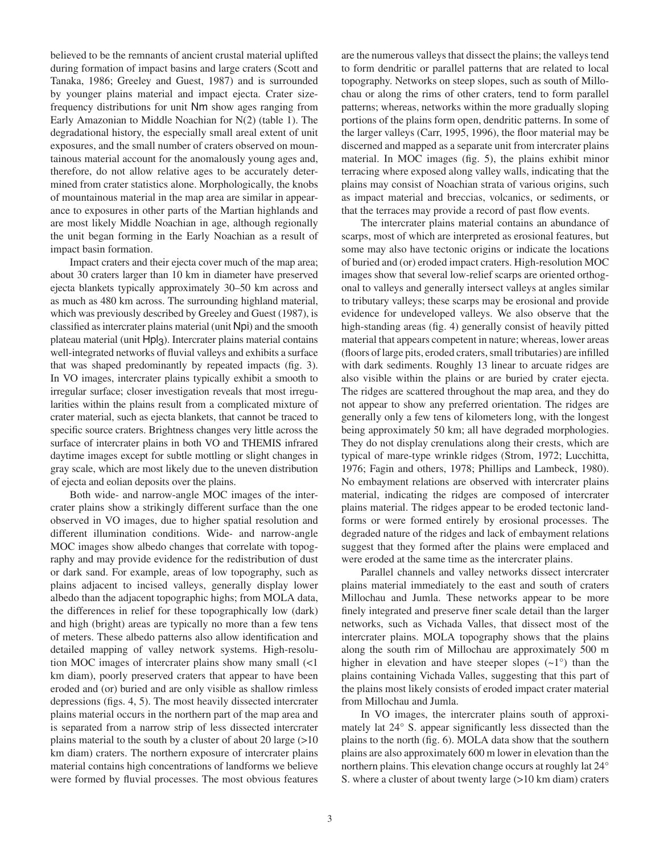believed to be the remnants of ancient crustal material uplifted during formation of impact basins and large craters (Scott and Tanaka, 1986; Greeley and Guest, 1987) and is surrounded by younger plains material and impact ejecta. Crater sizefrequency distributions for unit Nm show ages ranging from Early Amazonian to Middle Noachian for N(2) (table 1). The degradational history, the especially small areal extent of unit exposures, and the small number of craters observed on mountainous material account for the anomalously young ages and, therefore, do not allow relative ages to be accurately determined from crater statistics alone. Morphologically, the knobs of mountainous material in the map area are similar in appearance to exposures in other parts of the Martian highlands and are most likely Middle Noachian in age, although regionally the unit began forming in the Early Noachian as a result of impact basin formation.

Impact craters and their ejecta cover much of the map area; about 30 craters larger than 10 km in diameter have preserved ejecta blankets typically approximately 30–50 km across and as much as 480 km across. The surrounding highland material, which was previously described by Greeley and Guest (1987), is classified as intercrater plains material (unit Npi) and the smooth plateau material (unit Hpl3). Intercrater plains material contains well-integrated networks of fluvial valleys and exhibits a surface that was shaped predominantly by repeated impacts (fig. 3). In VO images, intercrater plains typically exhibit a smooth to irregular surface; closer investigation reveals that most irregularities within the plains result from a complicated mixture of crater material, such as ejecta blankets, that cannot be traced to specific source craters. Brightness changes very little across the surface of intercrater plains in both VO and THEMIS infrared daytime images except for subtle mottling or slight changes in gray scale, which are most likely due to the uneven distribution of ejecta and eolian deposits over the plains.

Both wide- and narrow-angle MOC images of the intercrater plains show a strikingly different surface than the one observed in VO images, due to higher spatial resolution and different illumination conditions. Wide- and narrow-angle MOC images show albedo changes that correlate with topography and may provide evidence for the redistribution of dust or dark sand. For example, areas of low topography, such as plains adjacent to incised valleys, generally display lower albedo than the adjacent topographic highs; from MOLA data, the differences in relief for these topographically low (dark) and high (bright) areas are typically no more than a few tens of meters. These albedo patterns also allow identification and detailed mapping of valley network systems. High-resolution MOC images of intercrater plains show many small (<1 km diam), poorly preserved craters that appear to have been eroded and (or) buried and are only visible as shallow rimless depressions (figs. 4, 5). The most heavily dissected intercrater plains material occurs in the northern part of the map area and is separated from a narrow strip of less dissected intercrater plains material to the south by a cluster of about 20 large (>10 km diam) craters. The northern exposure of intercrater plains material contains high concentrations of landforms we believe were formed by fluvial processes. The most obvious features are the numerous valleys that dissect the plains; the valleys tend to form dendritic or parallel patterns that are related to local topography. Networks on steep slopes, such as south of Millochau or along the rims of other craters, tend to form parallel patterns; whereas, networks within the more gradually sloping portions of the plains form open, dendritic patterns. In some of the larger valleys (Carr, 1995, 1996), the floor material may be discerned and mapped as a separate unit from intercrater plains material. In MOC images (fig. 5), the plains exhibit minor terracing where exposed along valley walls, indicating that the plains may consist of Noachian strata of various origins, such as impact material and breccias, volcanics, or sediments, or that the terraces may provide a record of past flow events.

The intercrater plains material contains an abundance of scarps, most of which are interpreted as erosional features, but some may also have tectonic origins or indicate the locations of buried and (or) eroded impact craters. High-resolution MOC images show that several low-relief scarps are oriented orthogonal to valleys and generally intersect valleys at angles similar to tributary valleys; these scarps may be erosional and provide evidence for undeveloped valleys. We also observe that the high-standing areas (fig. 4) generally consist of heavily pitted material that appears competent in nature; whereas, lower areas (floors of large pits, eroded craters, small tributaries) are infilled with dark sediments. Roughly 13 linear to arcuate ridges are also visible within the plains or are buried by crater ejecta. The ridges are scattered throughout the map area, and they do not appear to show any preferred orientation. The ridges are generally only a few tens of kilometers long, with the longest being approximately 50 km; all have degraded morphologies. They do not display crenulations along their crests, which are typical of mare-type wrinkle ridges (Strom, 1972; Lucchitta, 1976; Fagin and others, 1978; Phillips and Lambeck, 1980). No embayment relations are observed with intercrater plains material, indicating the ridges are composed of intercrater plains material. The ridges appear to be eroded tectonic landforms or were formed entirely by erosional processes. The degraded nature of the ridges and lack of embayment relations suggest that they formed after the plains were emplaced and were eroded at the same time as the intercrater plains.

Parallel channels and valley networks dissect intercrater plains material immediately to the east and south of craters Millochau and Jumla. These networks appear to be more finely integrated and preserve finer scale detail than the larger networks, such as Vichada Valles, that dissect most of the intercrater plains. MOLA topography shows that the plains along the south rim of Millochau are approximately 500 m higher in elevation and have steeper slopes  $(-1)$ <sup>o</sup>) than the plains containing Vichada Valles, suggesting that this part of the plains most likely consists of eroded impact crater material from Millochau and Jumla.

In VO images, the intercrater plains south of approximately lat 24° S. appear significantly less dissected than the plains to the north (fig. 6). MOLA data show that the southern plains are also approximately 600 m lower in elevation than the northern plains. This elevation change occurs at roughly lat 24° S. where a cluster of about twenty large (>10 km diam) craters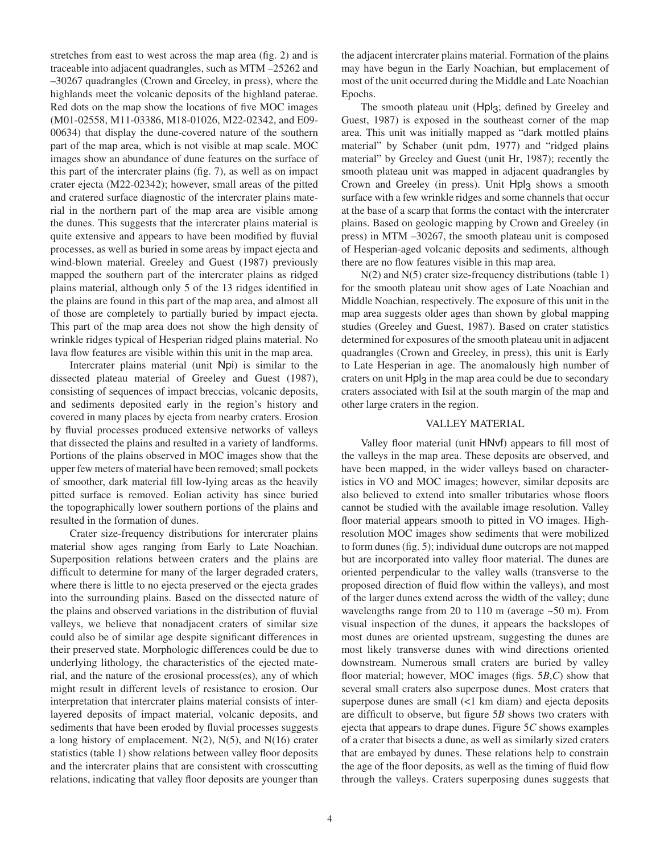stretches from east to west across the map area (fig. 2) and is traceable into adjacent quadrangles, such as MTM –25262 and –30267 quadrangles (Crown and Greeley, in press), where the highlands meet the volcanic deposits of the highland paterae. Red dots on the map show the locations of five MOC images (M01-02558, M11-03386, M18-01026, M22-02342, and E09- 00634) that display the dune-covered nature of the southern part of the map area, which is not visible at map scale. MOC images show an abundance of dune features on the surface of this part of the intercrater plains (fig. 7), as well as on impact crater ejecta (M22-02342); however, small areas of the pitted and cratered surface diagnostic of the intercrater plains material in the northern part of the map area are visible among the dunes. This suggests that the intercrater plains material is quite extensive and appears to have been modified by fluvial processes, as well as buried in some areas by impact ejecta and wind-blown material. Greeley and Guest (1987) previously mapped the southern part of the intercrater plains as ridged plains material, although only 5 of the 13 ridges identified in the plains are found in this part of the map area, and almost all of those are completely to partially buried by impact ejecta. This part of the map area does not show the high density of wrinkle ridges typical of Hesperian ridged plains material. No lava flow features are visible within this unit in the map area.

Intercrater plains material (unit Npi) is similar to the dissected plateau material of Greeley and Guest (1987), consisting of sequences of impact breccias, volcanic deposits, and sediments deposited early in the region's history and covered in many places by ejecta from nearby craters. Erosion by fluvial processes produced extensive networks of valleys that dissected the plains and resulted in a variety of landforms. Portions of the plains observed in MOC images show that the upper few meters of material have been removed; small pockets of smoother, dark material fill low-lying areas as the heavily pitted surface is removed. Eolian activity has since buried the topographically lower southern portions of the plains and resulted in the formation of dunes.

Crater size-frequency distributions for intercrater plains material show ages ranging from Early to Late Noachian. Superposition relations between craters and the plains are difficult to determine for many of the larger degraded craters, where there is little to no ejecta preserved or the ejecta grades into the surrounding plains. Based on the dissected nature of the plains and observed variations in the distribution of fluvial valleys, we believe that nonadjacent craters of similar size could also be of similar age despite significant differences in their preserved state. Morphologic differences could be due to underlying lithology, the characteristics of the ejected material, and the nature of the erosional process(es), any of which might result in different levels of resistance to erosion. Our interpretation that intercrater plains material consists of interlayered deposits of impact material, volcanic deposits, and sediments that have been eroded by fluvial processes suggests a long history of emplacement.  $N(2)$ ,  $N(5)$ , and  $N(16)$  crater statistics (table 1) show relations between valley floor deposits and the intercrater plains that are consistent with crosscutting relations, indicating that valley floor deposits are younger than the adjacent intercrater plains material. Formation of the plains may have begun in the Early Noachian, but emplacement of most of the unit occurred during the Middle and Late Noachian Epochs.

The smooth plateau unit (Hpl3; defined by Greeley and Guest, 1987) is exposed in the southeast corner of the map area. This unit was initially mapped as "dark mottled plains material" by Schaber (unit pdm, 1977) and "ridged plains material" by Greeley and Guest (unit Hr, 1987); recently the smooth plateau unit was mapped in adjacent quadrangles by Crown and Greeley (in press). Unit Hpl<sub>3</sub> shows a smooth surface with a few wrinkle ridges and some channels that occur at the base of a scarp that forms the contact with the intercrater plains. Based on geologic mapping by Crown and Greeley (in press) in MTM –30267, the smooth plateau unit is composed of Hesperian-aged volcanic deposits and sediments, although there are no flow features visible in this map area.

N(2) and N(5) crater size-frequency distributions (table 1) for the smooth plateau unit show ages of Late Noachian and Middle Noachian, respectively. The exposure of this unit in the map area suggests older ages than shown by global mapping studies (Greeley and Guest, 1987). Based on crater statistics determined for exposures of the smooth plateau unit in adjacent quadrangles (Crown and Greeley, in press), this unit is Early to Late Hesperian in age. The anomalously high number of craters on unit Hpl3 in the map area could be due to secondary craters associated with Isil at the south margin of the map and other large craters in the region.

#### VALLEY MATERIAL

Valley floor material (unit HNvf) appears to fill most of the valleys in the map area. These deposits are observed, and have been mapped, in the wider valleys based on characteristics in VO and MOC images; however, similar deposits are also believed to extend into smaller tributaries whose floors cannot be studied with the available image resolution. Valley floor material appears smooth to pitted in VO images. Highresolution MOC images show sediments that were mobilized to form dunes (fig. 5); individual dune outcrops are not mapped but are incorporated into valley floor material. The dunes are oriented perpendicular to the valley walls (transverse to the proposed direction of fluid flow within the valleys), and most of the larger dunes extend across the width of the valley; dune wavelengths range from 20 to 110 m (average ~50 m). From visual inspection of the dunes, it appears the backslopes of most dunes are oriented upstream, suggesting the dunes are most likely transverse dunes with wind directions oriented downstream. Numerous small craters are buried by valley floor material; however, MOC images (figs. 5*B*,*C*) show that several small craters also superpose dunes. Most craters that superpose dunes are small  $\left($ <1 km diam) and ejecta deposits are difficult to observe, but figure 5*B* shows two craters with ejecta that appears to drape dunes. Figure 5*C* shows examples of a crater that bisects a dune, as well as similarly sized craters that are embayed by dunes. These relations help to constrain the age of the floor deposits, as well as the timing of fluid flow through the valleys. Craters superposing dunes suggests that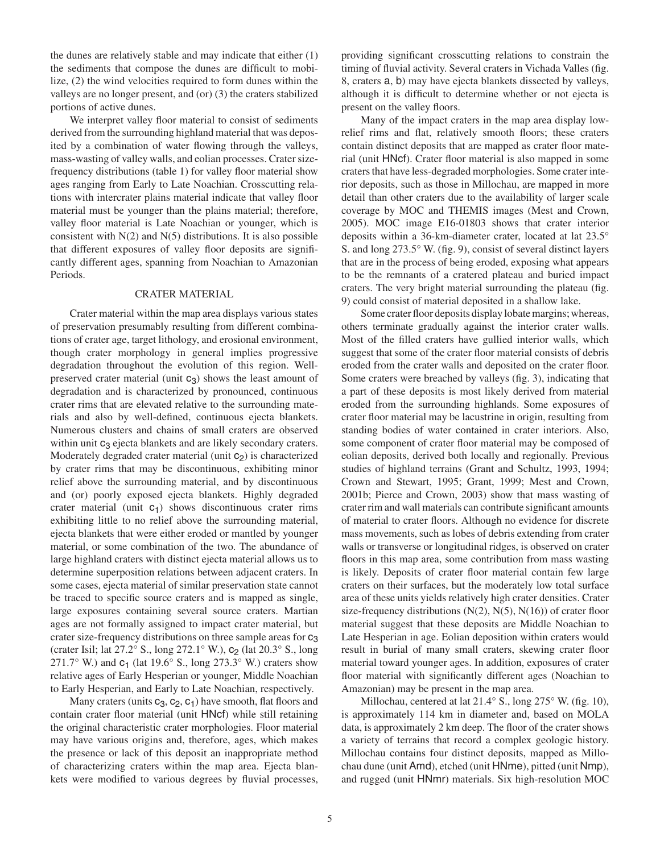the dunes are relatively stable and may indicate that either (1) the sediments that compose the dunes are difficult to mobilize, (2) the wind velocities required to form dunes within the valleys are no longer present, and (or) (3) the craters stabilized portions of active dunes.

We interpret valley floor material to consist of sediments derived from the surrounding highland material that was deposited by a combination of water flowing through the valleys, mass-wasting of valley walls, and eolian processes. Crater sizefrequency distributions (table 1) for valley floor material show ages ranging from Early to Late Noachian. Crosscutting relations with intercrater plains material indicate that valley floor material must be younger than the plains material; therefore, valley floor material is Late Noachian or younger, which is consistent with N(2) and N(5) distributions. It is also possible that different exposures of valley floor deposits are significantly different ages, spanning from Noachian to Amazonian Periods.

#### CRATER MATERIAL

Crater material within the map area displays various states of preservation presumably resulting from different combinations of crater age, target lithology, and erosional environment, though crater morphology in general implies progressive degradation throughout the evolution of this region. Wellpreserved crater material (unit  $c_3$ ) shows the least amount of degradation and is characterized by pronounced, continuous crater rims that are elevated relative to the surrounding materials and also by well-defined, continuous ejecta blankets. Numerous clusters and chains of small craters are observed within unit  $c_3$  ejecta blankets and are likely secondary craters. Moderately degraded crater material (unit  $c_2$ ) is characterized by crater rims that may be discontinuous, exhibiting minor relief above the surrounding material, and by discontinuous and (or) poorly exposed ejecta blankets. Highly degraded crater material (unit  $c_1$ ) shows discontinuous crater rims exhibiting little to no relief above the surrounding material, ejecta blankets that were either eroded or mantled by younger material, or some combination of the two. The abundance of large highland craters with distinct ejecta material allows us to determine superposition relations between adjacent craters. In some cases, ejecta material of similar preservation state cannot be traced to specific source craters and is mapped as single, large exposures containing several source craters. Martian ages are not formally assigned to impact crater material, but crater size-frequency distributions on three sample areas for  $c_3$ (crater Isil; lat  $27.2^{\circ}$  S., long  $272.1^{\circ}$  W.),  $c_2$  (lat  $20.3^{\circ}$  S., long 271.7° W.) and  $c_1$  (lat 19.6° S., long 273.3° W.) craters show relative ages of Early Hesperian or younger, Middle Noachian to Early Hesperian, and Early to Late Noachian, respectively.

Many craters (units  $c_3$ ,  $c_2$ ,  $c_1$ ) have smooth, flat floors and contain crater floor material (unit HNcf) while still retaining the original characteristic crater morphologies. Floor material may have various origins and, therefore, ages, which makes the presence or lack of this deposit an inappropriate method of characterizing craters within the map area. Ejecta blankets were modified to various degrees by fluvial processes,

providing significant crosscutting relations to constrain the timing of fluvial activity. Several craters in Vichada Valles (fig. 8, craters a, b) may have ejecta blankets dissected by valleys, although it is difficult to determine whether or not ejecta is present on the valley floors.

Many of the impact craters in the map area display lowrelief rims and flat, relatively smooth floors; these craters contain distinct deposits that are mapped as crater floor material (unit HNcf). Crater floor material is also mapped in some craters that have less-degraded morphologies. Some crater interior deposits, such as those in Millochau, are mapped in more detail than other craters due to the availability of larger scale coverage by MOC and THEMIS images (Mest and Crown, 2005). MOC image E16-01803 shows that crater interior deposits within a 36-km-diameter crater, located at lat 23.5° S. and long 273.5° W. (fig. 9), consist of several distinct layers that are in the process of being eroded, exposing what appears to be the remnants of a cratered plateau and buried impact craters. The very bright material surrounding the plateau (fig. 9) could consist of material deposited in a shallow lake.

Some crater floor deposits display lobate margins; whereas, others terminate gradually against the interior crater walls. Most of the filled craters have gullied interior walls, which suggest that some of the crater floor material consists of debris eroded from the crater walls and deposited on the crater floor. Some craters were breached by valleys (fig. 3), indicating that a part of these deposits is most likely derived from material eroded from the surrounding highlands. Some exposures of crater floor material may be lacustrine in origin, resulting from standing bodies of water contained in crater interiors. Also, some component of crater floor material may be composed of eolian deposits, derived both locally and regionally. Previous studies of highland terrains (Grant and Schultz, 1993, 1994; Crown and Stewart, 1995; Grant, 1999; Mest and Crown, 2001b; Pierce and Crown, 2003) show that mass wasting of crater rim and wall materials can contribute significant amounts of material to crater floors. Although no evidence for discrete mass movements, such as lobes of debris extending from crater walls or transverse or longitudinal ridges, is observed on crater floors in this map area, some contribution from mass wasting is likely. Deposits of crater floor material contain few large craters on their surfaces, but the moderately low total surface area of these units yields relatively high crater densities. Crater size-frequency distributions  $(N(2), N(5), N(16))$  of crater floor material suggest that these deposits are Middle Noachian to Late Hesperian in age. Eolian deposition within craters would result in burial of many small craters, skewing crater floor material toward younger ages. In addition, exposures of crater floor material with significantly different ages (Noachian to Amazonian) may be present in the map area.

Millochau, centered at lat 21.4° S., long 275° W. (fig. 10), is approximately 114 km in diameter and, based on MOLA data, is approximately 2 km deep. The floor of the crater shows a variety of terrains that record a complex geologic history. Millochau contains four distinct deposits, mapped as Millochau dune (unit Amd), etched (unit HNme), pitted (unit Nmp), and rugged (unit HNmr) materials. Six high-resolution MOC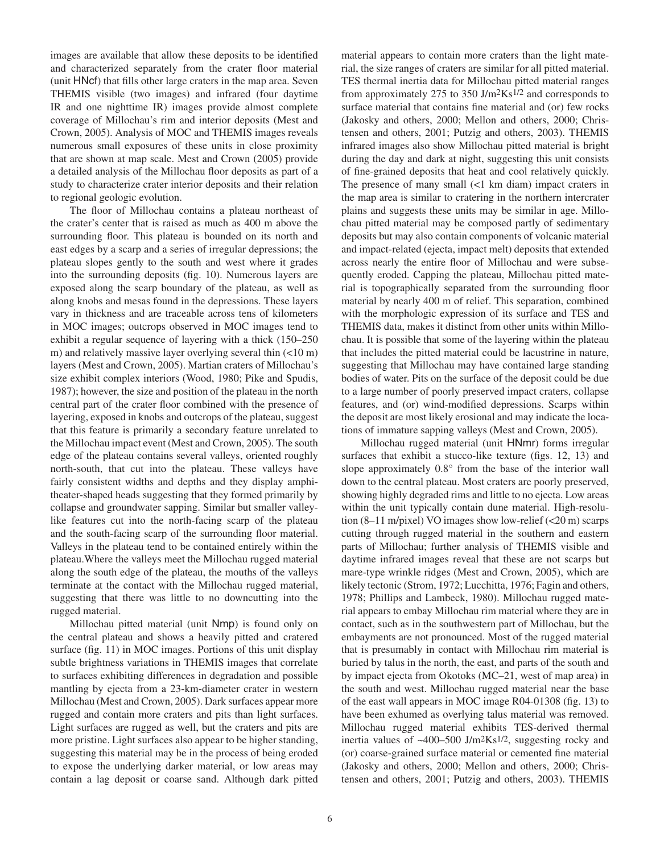images are available that allow these deposits to be identified and characterized separately from the crater floor material (unit HNcf) that fills other large craters in the map area. Seven THEMIS visible (two images) and infrared (four daytime IR and one nighttime IR) images provide almost complete coverage of Millochau's rim and interior deposits (Mest and Crown, 2005). Analysis of MOC and THEMIS images reveals numerous small exposures of these units in close proximity that are shown at map scale. Mest and Crown (2005) provide a detailed analysis of the Millochau floor deposits as part of a study to characterize crater interior deposits and their relation to regional geologic evolution.

The floor of Millochau contains a plateau northeast of the crater's center that is raised as much as 400 m above the surrounding floor. This plateau is bounded on its north and east edges by a scarp and a series of irregular depressions; the plateau slopes gently to the south and west where it grades into the surrounding deposits (fig. 10). Numerous layers are exposed along the scarp boundary of the plateau, as well as along knobs and mesas found in the depressions. These layers vary in thickness and are traceable across tens of kilometers in MOC images; outcrops observed in MOC images tend to exhibit a regular sequence of layering with a thick (150–250 m) and relatively massive layer overlying several thin (<10 m) layers (Mest and Crown, 2005). Martian craters of Millochau's size exhibit complex interiors (Wood, 1980; Pike and Spudis, 1987); however, the size and position of the plateau in the north central part of the crater floor combined with the presence of layering, exposed in knobs and outcrops of the plateau, suggest that this feature is primarily a secondary feature unrelated to the Millochau impact event (Mest and Crown, 2005). The south edge of the plateau contains several valleys, oriented roughly north-south, that cut into the plateau. These valleys have fairly consistent widths and depths and they display amphitheater-shaped heads suggesting that they formed primarily by collapse and groundwater sapping. Similar but smaller valleylike features cut into the north-facing scarp of the plateau and the south-facing scarp of the surrounding floor material. Valleys in the plateau tend to be contained entirely within the plateau.Where the valleys meet the Millochau rugged material along the south edge of the plateau, the mouths of the valleys terminate at the contact with the Millochau rugged material, suggesting that there was little to no downcutting into the rugged material.

Millochau pitted material (unit Nmp) is found only on the central plateau and shows a heavily pitted and cratered surface (fig. 11) in MOC images. Portions of this unit display subtle brightness variations in THEMIS images that correlate to surfaces exhibiting differences in degradation and possible mantling by ejecta from a 23-km-diameter crater in western Millochau (Mest and Crown, 2005). Dark surfaces appear more rugged and contain more craters and pits than light surfaces. Light surfaces are rugged as well, but the craters and pits are more pristine. Light surfaces also appear to be higher standing, suggesting this material may be in the process of being eroded to expose the underlying darker material, or low areas may contain a lag deposit or coarse sand. Although dark pitted material appears to contain more craters than the light material, the size ranges of craters are similar for all pitted material. TES thermal inertia data for Millochau pitted material ranges from approximately 275 to 350 J/m2Ks1/2 and corresponds to surface material that contains fine material and (or) few rocks (Jakosky and others, 2000; Mellon and others, 2000; Christensen and others, 2001; Putzig and others, 2003). THEMIS infrared images also show Millochau pitted material is bright during the day and dark at night, suggesting this unit consists of fine-grained deposits that heat and cool relatively quickly. The presence of many small (<1 km diam) impact craters in the map area is similar to cratering in the northern intercrater plains and suggests these units may be similar in age. Millochau pitted material may be composed partly of sedimentary deposits but may also contain components of volcanic material and impact-related (ejecta, impact melt) deposits that extended across nearly the entire floor of Millochau and were subsequently eroded. Capping the plateau, Millochau pitted material is topographically separated from the surrounding floor material by nearly 400 m of relief. This separation, combined with the morphologic expression of its surface and TES and THEMIS data, makes it distinct from other units within Millochau. It is possible that some of the layering within the plateau that includes the pitted material could be lacustrine in nature, suggesting that Millochau may have contained large standing bodies of water. Pits on the surface of the deposit could be due to a large number of poorly preserved impact craters, collapse features, and (or) wind-modified depressions. Scarps within the deposit are most likely erosional and may indicate the locations of immature sapping valleys (Mest and Crown, 2005).

Millochau rugged material (unit HNmr) forms irregular surfaces that exhibit a stucco-like texture (figs. 12, 13) and slope approximately 0.8° from the base of the interior wall down to the central plateau. Most craters are poorly preserved, showing highly degraded rims and little to no ejecta. Low areas within the unit typically contain dune material. High-resolution (8–11 m/pixel) VO images show low-relief (<20 m) scarps cutting through rugged material in the southern and eastern parts of Millochau; further analysis of THEMIS visible and daytime infrared images reveal that these are not scarps but mare-type wrinkle ridges (Mest and Crown, 2005), which are likely tectonic (Strom, 1972; Lucchitta, 1976; Fagin and others, 1978; Phillips and Lambeck, 1980). Millochau rugged material appears to embay Millochau rim material where they are in contact, such as in the southwestern part of Millochau, but the embayments are not pronounced. Most of the rugged material that is presumably in contact with Millochau rim material is buried by talus in the north, the east, and parts of the south and by impact ejecta from Okotoks (MC–21, west of map area) in the south and west. Millochau rugged material near the base of the east wall appears in MOC image R04-01308 (fig. 13) to have been exhumed as overlying talus material was removed. Millochau rugged material exhibits TES-derived thermal inertia values of  $\sim$ 400–500 J/m<sup>2</sup>Ks<sup>1/2</sup>, suggesting rocky and (or) coarse-grained surface material or cemented fine material (Jakosky and others, 2000; Mellon and others, 2000; Christensen and others, 2001; Putzig and others, 2003). THEMIS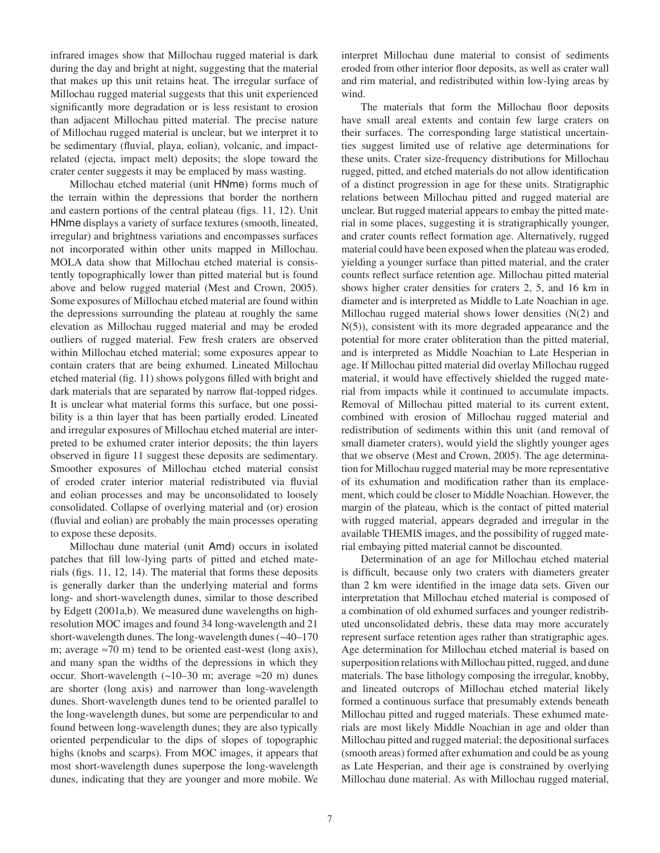infrared images show that Millochau rugged material is dark during the day and bright at night, suggesting that the material that makes up this unit retains heat. The irregular surface of Millochau rugged material suggests that this unit experienced significantly more degradation or is less resistant to erosion than adjacent Millochau pitted material. The precise nature of Millochau rugged material is unclear, but we interpret it to be sedimentary (fluvial, playa, eolian), volcanic, and impactrelated (ejecta, impact melt) deposits; the slope toward the crater center suggests it may be emplaced by mass wasting.

Millochau etched material (unit HNme) forms much of the terrain within the depressions that border the northern and eastern portions of the central plateau (figs. 11, 12). Unit HNme displays a variety of surface textures (smooth, lineated, irregular) and brightness variations and encompasses surfaces not incorporated within other units mapped in Millochau. MOLA data show that Millochau etched material is consistently topographically lower than pitted material but is found above and below rugged material (Mest and Crown, 2005). Some exposures of Millochau etched material are found within the depressions surrounding the plateau at roughly the same elevation as Millochau rugged material and may be eroded outliers of rugged material. Few fresh craters are observed within Millochau etched material; some exposures appear to contain craters that are being exhumed. Lineated Millochau etched material (fig. 11) shows polygons filled with bright and dark materials that are separated by narrow flat-topped ridges. It is unclear what material forms this surface, but one possibility is a thin layer that has been partially eroded. Lineated and irregular exposures of Millochau etched material are interpreted to be exhumed crater interior deposits; the thin layers observed in figure 11 suggest these deposits are sedimentary. Smoother exposures of Millochau etched material consist of eroded crater interior material redistributed via fluvial and eolian processes and may be unconsolidated to loosely consolidated. Collapse of overlying material and (or) erosion (fluvial and eolian) are probably the main processes operating to expose these deposits.

Millochau dune material (unit Amd) occurs in isolated patches that fill low-lying parts of pitted and etched materials (figs. 11, 12, 14). The material that forms these deposits is generally darker than the underlying material and forms long- and short-wavelength dunes, similar to those described by Edgett (2001a,b). We measured dune wavelengths on highresolution MOC images and found 34 long-wavelength and 21 short-wavelength dunes. The long-wavelength dunes (~40–170 m; average  $\approx$ 70 m) tend to be oriented east-west (long axis), and many span the widths of the depressions in which they occur. Short-wavelength (~10–30 m; average  $\approx$ 20 m) dunes are shorter (long axis) and narrower than long-wavelength dunes. Short-wavelength dunes tend to be oriented parallel to the long-wavelength dunes, but some are perpendicular to and found between long-wavelength dunes; they are also typically oriented perpendicular to the dips of slopes of topographic highs (knobs and scarps). From MOC images, it appears that most short-wavelength dunes superpose the long-wavelength dunes, indicating that they are younger and more mobile. We interpret Millochau dune material to consist of sediments eroded from other interior floor deposits, as well as crater wall and rim material, and redistributed within low-lying areas by wind.

The materials that form the Millochau floor deposits have small areal extents and contain few large craters on their surfaces. The corresponding large statistical uncertainties suggest limited use of relative age determinations for these units. Crater size-frequency distributions for Millochau rugged, pitted, and etched materials do not allow identification of a distinct progression in age for these units. Stratigraphic relations between Millochau pitted and rugged material are unclear. But rugged material appears to embay the pitted material in some places, suggesting it is stratigraphically younger, and crater counts reflect formation age. Alternatively, rugged material could have been exposed when the plateau was eroded, yielding a younger surface than pitted material, and the crater counts reflect surface retention age. Millochau pitted material shows higher crater densities for craters 2, 5, and 16 km in diameter and is interpreted as Middle to Late Noachian in age. Millochau rugged material shows lower densities (N(2) and N(5)), consistent with its more degraded appearance and the potential for more crater obliteration than the pitted material, and is interpreted as Middle Noachian to Late Hesperian in age. If Millochau pitted material did overlay Millochau rugged material, it would have effectively shielded the rugged material from impacts while it continued to accumulate impacts. Removal of Millochau pitted material to its current extent, combined with erosion of Millochau rugged material and redistribution of sediments within this unit (and removal of small diameter craters), would yield the slightly younger ages that we observe (Mest and Crown, 2005). The age determination for Millochau rugged material may be more representative of its exhumation and modification rather than its emplacement, which could be closer to Middle Noachian. However, the margin of the plateau, which is the contact of pitted material with rugged material, appears degraded and irregular in the available THEMIS images, and the possibility of rugged material embaying pitted material cannot be discounted.

Determination of an age for Millochau etched material is difficult, because only two craters with diameters greater than 2 km were identified in the image data sets. Given our interpretation that Millochau etched material is composed of a combination of old exhumed surfaces and younger redistributed unconsolidated debris, these data may more accurately represent surface retention ages rather than stratigraphic ages. Age determination for Millochau etched material is based on superposition relations with Millochau pitted, rugged, and dune materials. The base lithology composing the irregular, knobby, and lineated outcrops of Millochau etched material likely formed a continuous surface that presumably extends beneath Millochau pitted and rugged materials. These exhumed materials are most likely Middle Noachian in age and older than Millochau pitted and rugged material; the depositional surfaces (smooth areas) formed after exhumation and could be as young as Late Hesperian, and their age is constrained by overlying Millochau dune material. As with Millochau rugged material,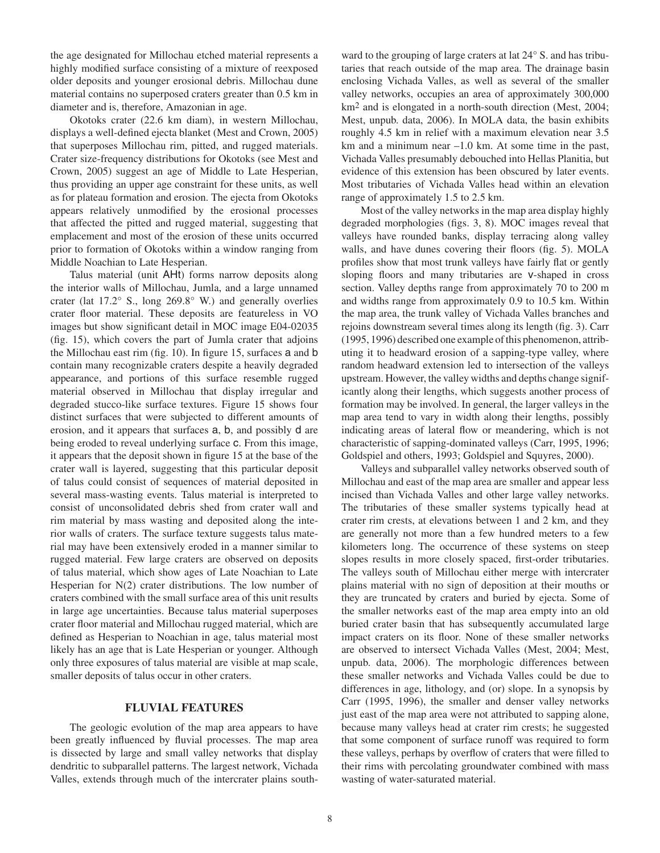the age designated for Millochau etched material represents a highly modified surface consisting of a mixture of reexposed older deposits and younger erosional debris. Millochau dune material contains no superposed craters greater than 0.5 km in diameter and is, therefore, Amazonian in age.

Okotoks crater (22.6 km diam), in western Millochau, displays a well-defined ejecta blanket (Mest and Crown, 2005) that superposes Millochau rim, pitted, and rugged materials. Crater size-frequency distributions for Okotoks (see Mest and Crown, 2005) suggest an age of Middle to Late Hesperian, thus providing an upper age constraint for these units, as well as for plateau formation and erosion. The ejecta from Okotoks appears relatively unmodified by the erosional processes that affected the pitted and rugged material, suggesting that emplacement and most of the erosion of these units occurred prior to formation of Okotoks within a window ranging from Middle Noachian to Late Hesperian.

Talus material (unit AHt) forms narrow deposits along the interior walls of Millochau, Jumla, and a large unnamed crater (lat 17.2° S., long 269.8° W.) and generally overlies crater floor material. These deposits are featureless in VO images but show significant detail in MOC image E04-02035 (fig. 15), which covers the part of Jumla crater that adjoins the Millochau east rim (fig. 10). In figure 15, surfaces a and b contain many recognizable craters despite a heavily degraded appearance, and portions of this surface resemble rugged material observed in Millochau that display irregular and degraded stucco-like surface textures. Figure 15 shows four distinct surfaces that were subjected to different amounts of erosion, and it appears that surfaces a, b, and possibly d are being eroded to reveal underlying surface c. From this image, it appears that the deposit shown in figure 15 at the base of the crater wall is layered, suggesting that this particular deposit of talus could consist of sequences of material deposited in several mass-wasting events. Talus material is interpreted to consist of unconsolidated debris shed from crater wall and rim material by mass wasting and deposited along the interior walls of craters. The surface texture suggests talus material may have been extensively eroded in a manner similar to rugged material. Few large craters are observed on deposits of talus material, which show ages of Late Noachian to Late Hesperian for N(2) crater distributions. The low number of craters combined with the small surface area of this unit results in large age uncertainties. Because talus material superposes crater floor material and Millochau rugged material, which are defined as Hesperian to Noachian in age, talus material most likely has an age that is Late Hesperian or younger. Although only three exposures of talus material are visible at map scale, smaller deposits of talus occur in other craters.

## **FLUVIAL FEATURES**

The geologic evolution of the map area appears to have been greatly influenced by fluvial processes. The map area is dissected by large and small valley networks that display dendritic to subparallel patterns. The largest network, Vichada Valles, extends through much of the intercrater plains southward to the grouping of large craters at lat 24° S. and has tributaries that reach outside of the map area. The drainage basin enclosing Vichada Valles, as well as several of the smaller valley networks, occupies an area of approximately 300,000 km2 and is elongated in a north-south direction (Mest, 2004; Mest, unpub. data, 2006). In MOLA data, the basin exhibits roughly 4.5 km in relief with a maximum elevation near 3.5 km and a minimum near  $-1.0$  km. At some time in the past, Vichada Valles presumably debouched into Hellas Planitia, but evidence of this extension has been obscured by later events. Most tributaries of Vichada Valles head within an elevation range of approximately 1.5 to 2.5 km.

Most of the valley networks in the map area display highly degraded morphologies (figs. 3, 8). MOC images reveal that valleys have rounded banks, display terracing along valley walls, and have dunes covering their floors (fig. 5). MOLA profiles show that most trunk valleys have fairly flat or gently sloping floors and many tributaries are v-shaped in cross section. Valley depths range from approximately 70 to 200 m and widths range from approximately 0.9 to 10.5 km. Within the map area, the trunk valley of Vichada Valles branches and rejoins downstream several times along its length (fig. 3). Carr (1995, 1996) described one example of this phenomenon, attributing it to headward erosion of a sapping-type valley, where random headward extension led to intersection of the valleys upstream. However, the valley widths and depths change significantly along their lengths, which suggests another process of formation may be involved. In general, the larger valleys in the map area tend to vary in width along their lengths, possibly indicating areas of lateral flow or meandering, which is not characteristic of sapping-dominated valleys (Carr, 1995, 1996; Goldspiel and others, 1993; Goldspiel and Squyres, 2000).

Valleys and subparallel valley networks observed south of Millochau and east of the map area are smaller and appear less incised than Vichada Valles and other large valley networks. The tributaries of these smaller systems typically head at crater rim crests, at elevations between 1 and 2 km, and they are generally not more than a few hundred meters to a few kilometers long. The occurrence of these systems on steep slopes results in more closely spaced, first-order tributaries. The valleys south of Millochau either merge with intercrater plains material with no sign of deposition at their mouths or they are truncated by craters and buried by ejecta. Some of the smaller networks east of the map area empty into an old buried crater basin that has subsequently accumulated large impact craters on its floor. None of these smaller networks are observed to intersect Vichada Valles (Mest, 2004; Mest, unpub. data, 2006). The morphologic differences between these smaller networks and Vichada Valles could be due to differences in age, lithology, and (or) slope. In a synopsis by Carr (1995, 1996), the smaller and denser valley networks just east of the map area were not attributed to sapping alone, because many valleys head at crater rim crests; he suggested that some component of surface runoff was required to form these valleys, perhaps by overflow of craters that were filled to their rims with percolating groundwater combined with mass wasting of water-saturated material.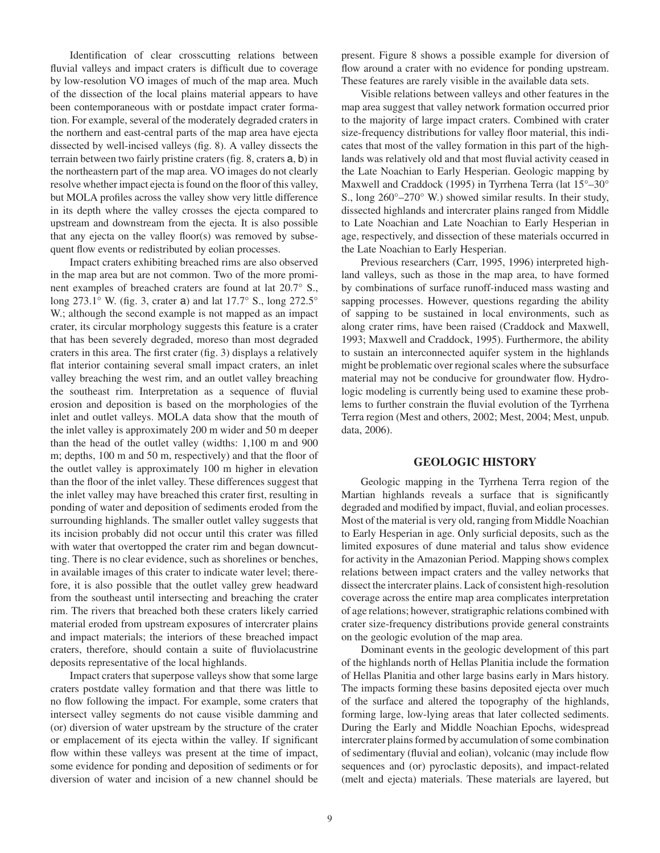Identification of clear crosscutting relations between fluvial valleys and impact craters is difficult due to coverage by low-resolution VO images of much of the map area. Much of the dissection of the local plains material appears to have been contemporaneous with or postdate impact crater formation. For example, several of the moderately degraded craters in the northern and east-central parts of the map area have ejecta dissected by well-incised valleys (fig. 8). A valley dissects the terrain between two fairly pristine craters (fig. 8, craters a, b) in the northeastern part of the map area. VO images do not clearly resolve whether impact ejecta is found on the floor of this valley, but MOLA profiles across the valley show very little difference in its depth where the valley crosses the ejecta compared to upstream and downstream from the ejecta. It is also possible that any ejecta on the valley floor(s) was removed by subsequent flow events or redistributed by eolian processes.

Impact craters exhibiting breached rims are also observed in the map area but are not common. Two of the more prominent examples of breached craters are found at lat 20.7° S., long 273.1° W. (fig. 3, crater a) and lat 17.7° S., long 272.5° W.; although the second example is not mapped as an impact crater, its circular morphology suggests this feature is a crater that has been severely degraded, moreso than most degraded craters in this area. The first crater (fig. 3) displays a relatively flat interior containing several small impact craters, an inlet valley breaching the west rim, and an outlet valley breaching the southeast rim. Interpretation as a sequence of fluvial erosion and deposition is based on the morphologies of the inlet and outlet valleys. MOLA data show that the mouth of the inlet valley is approximately 200 m wider and 50 m deeper than the head of the outlet valley (widths: 1,100 m and 900 m; depths, 100 m and 50 m, respectively) and that the floor of the outlet valley is approximately 100 m higher in elevation than the floor of the inlet valley. These differences suggest that the inlet valley may have breached this crater first, resulting in ponding of water and deposition of sediments eroded from the surrounding highlands. The smaller outlet valley suggests that its incision probably did not occur until this crater was filled with water that overtopped the crater rim and began downcutting. There is no clear evidence, such as shorelines or benches, in available images of this crater to indicate water level; therefore, it is also possible that the outlet valley grew headward from the southeast until intersecting and breaching the crater rim. The rivers that breached both these craters likely carried material eroded from upstream exposures of intercrater plains and impact materials; the interiors of these breached impact craters, therefore, should contain a suite of fluviolacustrine deposits representative of the local highlands.

Impact craters that superpose valleys show that some large craters postdate valley formation and that there was little to no flow following the impact. For example, some craters that intersect valley segments do not cause visible damming and (or) diversion of water upstream by the structure of the crater or emplacement of its ejecta within the valley. If significant flow within these valleys was present at the time of impact, some evidence for ponding and deposition of sediments or for diversion of water and incision of a new channel should be present. Figure 8 shows a possible example for diversion of flow around a crater with no evidence for ponding upstream. These features are rarely visible in the available data sets.

Visible relations between valleys and other features in the map area suggest that valley network formation occurred prior to the majority of large impact craters. Combined with crater size-frequency distributions for valley floor material, this indicates that most of the valley formation in this part of the highlands was relatively old and that most fluvial activity ceased in the Late Noachian to Early Hesperian. Geologic mapping by Maxwell and Craddock (1995) in Tyrrhena Terra (lat 15°–30° S., long 260°–270° W.) showed similar results. In their study, dissected highlands and intercrater plains ranged from Middle to Late Noachian and Late Noachian to Early Hesperian in age, respectively, and dissection of these materials occurred in the Late Noachian to Early Hesperian.

Previous researchers (Carr, 1995, 1996) interpreted highland valleys, such as those in the map area, to have formed by combinations of surface runoff-induced mass wasting and sapping processes. However, questions regarding the ability of sapping to be sustained in local environments, such as along crater rims, have been raised (Craddock and Maxwell, 1993; Maxwell and Craddock, 1995). Furthermore, the ability to sustain an interconnected aquifer system in the highlands might be problematic over regional scales where the subsurface material may not be conducive for groundwater flow. Hydrologic modeling is currently being used to examine these problems to further constrain the fluvial evolution of the Tyrrhena Terra region (Mest and others, 2002; Mest, 2004; Mest, unpub. data, 2006).

## **GEOLOGIC HISTORY**

Geologic mapping in the Tyrrhena Terra region of the Martian highlands reveals a surface that is significantly degraded and modified by impact, fluvial, and eolian processes. Most of the material is very old, ranging from Middle Noachian to Early Hesperian in age. Only surficial deposits, such as the limited exposures of dune material and talus show evidence for activity in the Amazonian Period. Mapping shows complex relations between impact craters and the valley networks that dissect the intercrater plains. Lack of consistent high-resolution coverage across the entire map area complicates interpretation of age relations; however, stratigraphic relations combined with crater size-frequency distributions provide general constraints on the geologic evolution of the map area.

Dominant events in the geologic development of this part of the highlands north of Hellas Planitia include the formation of Hellas Planitia and other large basins early in Mars history. The impacts forming these basins deposited ejecta over much of the surface and altered the topography of the highlands, forming large, low-lying areas that later collected sediments. During the Early and Middle Noachian Epochs, widespread intercrater plains formed by accumulation of some combination of sedimentary (fluvial and eolian), volcanic (may include flow sequences and (or) pyroclastic deposits), and impact-related (melt and ejecta) materials. These materials are layered, but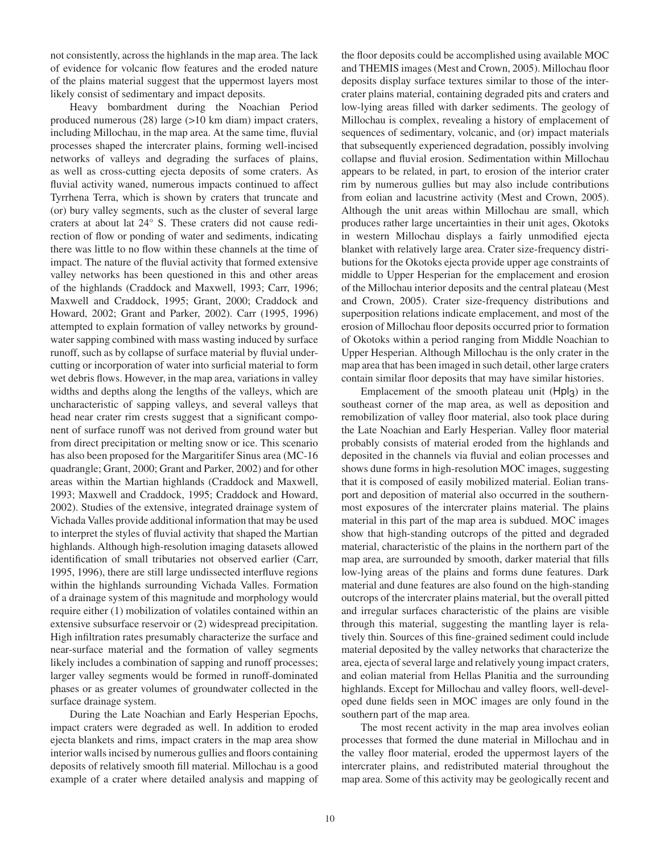not consistently, across the highlands in the map area. The lack of evidence for volcanic flow features and the eroded nature of the plains material suggest that the uppermost layers most likely consist of sedimentary and impact deposits.

Heavy bombardment during the Noachian Period produced numerous (28) large (>10 km diam) impact craters, including Millochau, in the map area. At the same time, fluvial processes shaped the intercrater plains, forming well-incised networks of valleys and degrading the surfaces of plains, as well as cross-cutting ejecta deposits of some craters. As fluvial activity waned, numerous impacts continued to affect Tyrrhena Terra, which is shown by craters that truncate and (or) bury valley segments, such as the cluster of several large craters at about lat 24° S. These craters did not cause redirection of flow or ponding of water and sediments, indicating there was little to no flow within these channels at the time of impact. The nature of the fluvial activity that formed extensive valley networks has been questioned in this and other areas of the highlands (Craddock and Maxwell, 1993; Carr, 1996; Maxwell and Craddock, 1995; Grant, 2000; Craddock and Howard, 2002; Grant and Parker, 2002). Carr (1995, 1996) attempted to explain formation of valley networks by groundwater sapping combined with mass wasting induced by surface runoff, such as by collapse of surface material by fluvial undercutting or incorporation of water into surficial material to form wet debris flows. However, in the map area, variations in valley widths and depths along the lengths of the valleys, which are uncharacteristic of sapping valleys, and several valleys that head near crater rim crests suggest that a significant component of surface runoff was not derived from ground water but from direct precipitation or melting snow or ice. This scenario has also been proposed for the Margaritifer Sinus area (MC-16 quadrangle; Grant, 2000; Grant and Parker, 2002) and for other areas within the Martian highlands (Craddock and Maxwell, 1993; Maxwell and Craddock, 1995; Craddock and Howard, 2002). Studies of the extensive, integrated drainage system of Vichada Valles provide additional information that may be used to interpret the styles of fluvial activity that shaped the Martian highlands. Although high-resolution imaging datasets allowed identification of small tributaries not observed earlier (Carr, 1995, 1996), there are still large undissected interfluve regions within the highlands surrounding Vichada Valles. Formation of a drainage system of this magnitude and morphology would require either (1) mobilization of volatiles contained within an extensive subsurface reservoir or (2) widespread precipitation. High infiltration rates presumably characterize the surface and near-surface material and the formation of valley segments likely includes a combination of sapping and runoff processes; larger valley segments would be formed in runoff-dominated phases or as greater volumes of groundwater collected in the surface drainage system.

During the Late Noachian and Early Hesperian Epochs, impact craters were degraded as well. In addition to eroded ejecta blankets and rims, impact craters in the map area show interior walls incised by numerous gullies and floors containing deposits of relatively smooth fill material. Millochau is a good example of a crater where detailed analysis and mapping of the floor deposits could be accomplished using available MOC and THEMIS images (Mest and Crown, 2005). Millochau floor deposits display surface textures similar to those of the intercrater plains material, containing degraded pits and craters and low-lying areas filled with darker sediments. The geology of Millochau is complex, revealing a history of emplacement of sequences of sedimentary, volcanic, and (or) impact materials that subsequently experienced degradation, possibly involving collapse and fluvial erosion. Sedimentation within Millochau appears to be related, in part, to erosion of the interior crater rim by numerous gullies but may also include contributions from eolian and lacustrine activity (Mest and Crown, 2005). Although the unit areas within Millochau are small, which produces rather large uncertainties in their unit ages, Okotoks in western Millochau displays a fairly unmodified ejecta blanket with relatively large area. Crater size-frequency distributions for the Okotoks ejecta provide upper age constraints of middle to Upper Hesperian for the emplacement and erosion of the Millochau interior deposits and the central plateau (Mest and Crown, 2005). Crater size-frequency distributions and superposition relations indicate emplacement, and most of the erosion of Millochau floor deposits occurred prior to formation of Okotoks within a period ranging from Middle Noachian to Upper Hesperian. Although Millochau is the only crater in the map area that has been imaged in such detail, other large craters contain similar floor deposits that may have similar histories.

Emplacement of the smooth plateau unit (Hpl3) in the southeast corner of the map area, as well as deposition and remobilization of valley floor material, also took place during the Late Noachian and Early Hesperian. Valley floor material probably consists of material eroded from the highlands and deposited in the channels via fluvial and eolian processes and shows dune forms in high-resolution MOC images, suggesting that it is composed of easily mobilized material. Eolian transport and deposition of material also occurred in the southernmost exposures of the intercrater plains material. The plains material in this part of the map area is subdued. MOC images show that high-standing outcrops of the pitted and degraded material, characteristic of the plains in the northern part of the map area, are surrounded by smooth, darker material that fills low-lying areas of the plains and forms dune features. Dark material and dune features are also found on the high-standing outcrops of the intercrater plains material, but the overall pitted and irregular surfaces characteristic of the plains are visible through this material, suggesting the mantling layer is relatively thin. Sources of this fine-grained sediment could include material deposited by the valley networks that characterize the area, ejecta of several large and relatively young impact craters, and eolian material from Hellas Planitia and the surrounding highlands. Except for Millochau and valley floors, well-developed dune fields seen in MOC images are only found in the southern part of the map area.

The most recent activity in the map area involves eolian processes that formed the dune material in Millochau and in the valley floor material, eroded the uppermost layers of the intercrater plains, and redistributed material throughout the map area. Some of this activity may be geologically recent and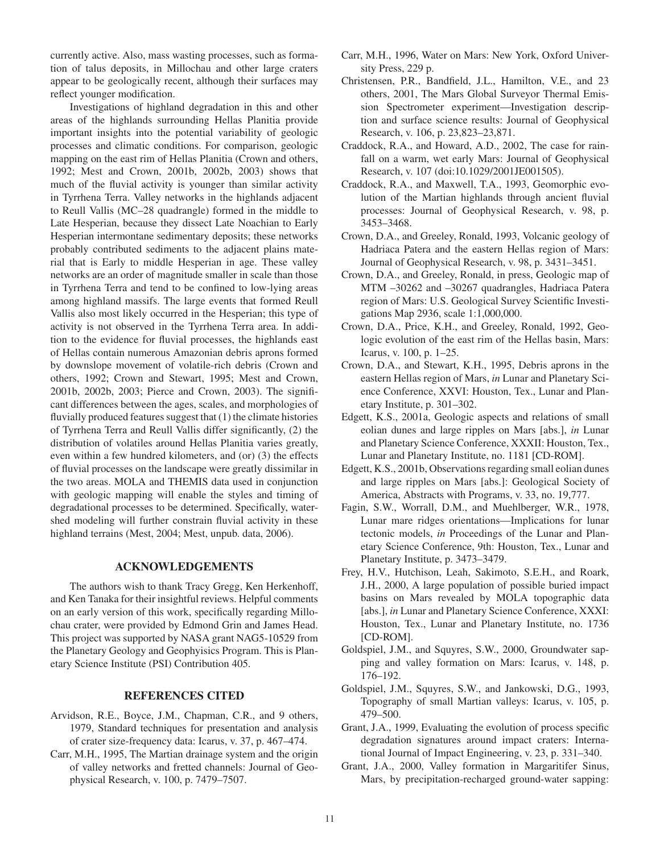currently active. Also, mass wasting processes, such as formation of talus deposits, in Millochau and other large craters appear to be geologically recent, although their surfaces may reflect younger modification.

Investigations of highland degradation in this and other areas of the highlands surrounding Hellas Planitia provide important insights into the potential variability of geologic processes and climatic conditions. For comparison, geologic mapping on the east rim of Hellas Planitia (Crown and others, 1992; Mest and Crown, 2001b, 2002b, 2003) shows that much of the fluvial activity is younger than similar activity in Tyrrhena Terra. Valley networks in the highlands adjacent to Reull Vallis (MC–28 quadrangle) formed in the middle to Late Hesperian, because they dissect Late Noachian to Early Hesperian intermontane sedimentary deposits; these networks probably contributed sediments to the adjacent plains material that is Early to middle Hesperian in age. These valley networks are an order of magnitude smaller in scale than those in Tyrrhena Terra and tend to be confined to low-lying areas among highland massifs. The large events that formed Reull Vallis also most likely occurred in the Hesperian; this type of activity is not observed in the Tyrrhena Terra area. In addition to the evidence for fluvial processes, the highlands east of Hellas contain numerous Amazonian debris aprons formed by downslope movement of volatile-rich debris (Crown and others, 1992; Crown and Stewart, 1995; Mest and Crown, 2001b, 2002b, 2003; Pierce and Crown, 2003). The significant differences between the ages, scales, and morphologies of fluvially produced features suggest that (1) the climate histories of Tyrrhena Terra and Reull Vallis differ significantly, (2) the distribution of volatiles around Hellas Planitia varies greatly, even within a few hundred kilometers, and (or) (3) the effects of fluvial processes on the landscape were greatly dissimilar in the two areas. MOLA and THEMIS data used in conjunction with geologic mapping will enable the styles and timing of degradational processes to be determined. Specifically, watershed modeling will further constrain fluvial activity in these highland terrains (Mest, 2004; Mest, unpub. data, 2006).

## **ACKNOWLEDGEMENTS**

The authors wish to thank Tracy Gregg, Ken Herkenhoff, and Ken Tanaka for their insightful reviews. Helpful comments on an early version of this work, specifically regarding Millochau crater, were provided by Edmond Grin and James Head. This project was supported by NASA grant NAG5-10529 from the Planetary Geology and Geophyisics Program. This is Planetary Science Institute (PSI) Contribution 405.

## **REFERENCES CITED**

- Arvidson, R.E., Boyce, J.M., Chapman, C.R., and 9 others, 1979, Standard techniques for presentation and analysis of crater size-frequency data: Icarus, v. 37, p. 467–474.
- Carr, M.H., 1995, The Martian drainage system and the origin of valley networks and fretted channels: Journal of Geophysical Research, v. 100, p. 7479–7507.
- Carr, M.H., 1996, Water on Mars: New York, Oxford University Press, 229 p.
- Christensen, P.R., Bandfield, J.L., Hamilton, V.E., and 23 others, 2001, The Mars Global Surveyor Thermal Emission Spectrometer experiment—Investigation description and surface science results: Journal of Geophysical Research, v. 106, p. 23,823–23,871.
- Craddock, R.A., and Howard, A.D., 2002, The case for rainfall on a warm, wet early Mars: Journal of Geophysical Research, v. 107 (doi:10.1029/2001JE001505).
- Craddock, R.A., and Maxwell, T.A., 1993, Geomorphic evolution of the Martian highlands through ancient fluvial processes: Journal of Geophysical Research, v. 98, p. 3453–3468.
- Crown, D.A., and Greeley, Ronald, 1993, Volcanic geology of Hadriaca Patera and the eastern Hellas region of Mars: Journal of Geophysical Research, v. 98, p. 3431–3451.
- Crown, D.A., and Greeley, Ronald, in press, Geologic map of MTM –30262 and –30267 quadrangles, Hadriaca Patera region of Mars: U.S. Geological Survey Scientific Investigations Map 2936, scale 1:1,000,000.
- Crown, D.A., Price, K.H., and Greeley, Ronald, 1992, Geologic evolution of the east rim of the Hellas basin, Mars: Icarus, v. 100, p. 1–25.
- Crown, D.A., and Stewart, K.H., 1995, Debris aprons in the eastern Hellas region of Mars, *in* Lunar and Planetary Science Conference, XXVI: Houston, Tex., Lunar and Planetary Institute, p. 301–302.
- Edgett, K.S., 2001a, Geologic aspects and relations of small eolian dunes and large ripples on Mars [abs.], *in* Lunar and Planetary Science Conference, XXXII: Houston, Tex., Lunar and Planetary Institute, no. 1181 [CD-ROM].
- Edgett, K.S., 2001b, Observations regarding small eolian dunes and large ripples on Mars [abs.]: Geological Society of America, Abstracts with Programs, v. 33, no. 19,777.
- Fagin, S.W., Worrall, D.M., and Muehlberger, W.R., 1978, Lunar mare ridges orientations—Implications for lunar tectonic models, *in* Proceedings of the Lunar and Planetary Science Conference, 9th: Houston, Tex., Lunar and Planetary Institute, p. 3473–3479.
- Frey, H.V., Hutchison, Leah, Sakimoto, S.E.H., and Roark, J.H., 2000, A large population of possible buried impact basins on Mars revealed by MOLA topographic data [abs.], *in* Lunar and Planetary Science Conference, XXXI: Houston, Tex., Lunar and Planetary Institute, no. 1736 [CD-ROM].
- Goldspiel, J.M., and Squyres, S.W., 2000, Groundwater sapping and valley formation on Mars: Icarus, v. 148, p. 176–192.
- Goldspiel, J.M., Squyres, S.W., and Jankowski, D.G., 1993, Topography of small Martian valleys: Icarus, v. 105, p. 479–500.
- Grant, J.A., 1999, Evaluating the evolution of process specific degradation signatures around impact craters: International Journal of Impact Engineering, v. 23, p. 331–340.
- Grant, J.A., 2000, Valley formation in Margaritifer Sinus, Mars, by precipitation-recharged ground-water sapping: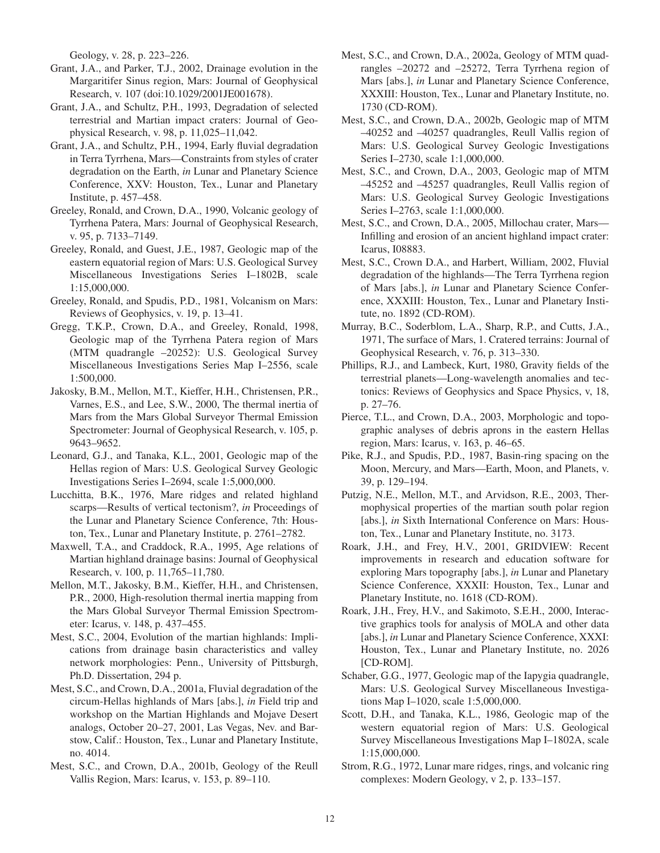Geology, v. 28, p. 223–226.

- Grant, J.A., and Parker, T.J., 2002, Drainage evolution in the Margaritifer Sinus region, Mars: Journal of Geophysical Research, v. 107 (doi:10.1029/2001JE001678).
- Grant, J.A., and Schultz, P.H., 1993, Degradation of selected terrestrial and Martian impact craters: Journal of Geophysical Research, v. 98, p. 11,025–11,042.
- Grant, J.A., and Schultz, P.H., 1994, Early fluvial degradation in Terra Tyrrhena, Mars—Constraints from styles of crater degradation on the Earth, *in* Lunar and Planetary Science Conference, XXV: Houston, Tex., Lunar and Planetary Institute, p. 457–458.
- Greeley, Ronald, and Crown, D.A., 1990, Volcanic geology of Tyrrhena Patera, Mars: Journal of Geophysical Research, v. 95, p. 7133–7149.
- Greeley, Ronald, and Guest, J.E., 1987, Geologic map of the eastern equatorial region of Mars: U.S. Geological Survey Miscellaneous Investigations Series I–1802B, scale 1:15,000,000.
- Greeley, Ronald, and Spudis, P.D., 1981, Volcanism on Mars: Reviews of Geophysics, v. 19, p. 13–41.
- Gregg, T.K.P., Crown, D.A., and Greeley, Ronald, 1998, Geologic map of the Tyrrhena Patera region of Mars (MTM quadrangle –20252): U.S. Geological Survey Miscellaneous Investigations Series Map I–2556, scale 1:500,000.
- Jakosky, B.M., Mellon, M.T., Kieffer, H.H., Christensen, P.R., Varnes, E.S., and Lee, S.W., 2000, The thermal inertia of Mars from the Mars Global Surveyor Thermal Emission Spectrometer: Journal of Geophysical Research, v. 105, p. 9643–9652.
- Leonard, G.J., and Tanaka, K.L., 2001, Geologic map of the Hellas region of Mars: U.S. Geological Survey Geologic Investigations Series I–2694, scale 1:5,000,000.
- Lucchitta, B.K., 1976, Mare ridges and related highland scarps—Results of vertical tectonism?, *in* Proceedings of the Lunar and Planetary Science Conference, 7th: Houston, Tex., Lunar and Planetary Institute, p. 2761–2782.
- Maxwell, T.A., and Craddock, R.A., 1995, Age relations of Martian highland drainage basins: Journal of Geophysical Research, v. 100, p. 11,765–11,780.
- Mellon, M.T., Jakosky, B.M., Kieffer, H.H., and Christensen, P.R., 2000, High-resolution thermal inertia mapping from the Mars Global Surveyor Thermal Emission Spectrometer: Icarus, v. 148, p. 437–455.
- Mest, S.C., 2004, Evolution of the martian highlands: Implications from drainage basin characteristics and valley network morphologies: Penn., University of Pittsburgh, Ph.D. Dissertation, 294 p.
- Mest, S.C., and Crown, D.A., 2001a, Fluvial degradation of the circum-Hellas highlands of Mars [abs.], *in* Field trip and workshop on the Martian Highlands and Mojave Desert analogs, October 20–27, 2001, Las Vegas, Nev. and Barstow, Calif.: Houston, Tex., Lunar and Planetary Institute, no. 4014.
- Mest, S.C., and Crown, D.A., 2001b, Geology of the Reull Vallis Region, Mars: Icarus, v. 153, p. 89–110.
- Mest, S.C., and Crown, D.A., 2002a, Geology of MTM quadrangles –20272 and –25272, Terra Tyrrhena region of Mars [abs.], *in* Lunar and Planetary Science Conference, XXXIII: Houston, Tex., Lunar and Planetary Institute, no. 1730 (CD-ROM).
- Mest, S.C., and Crown, D.A., 2002b, Geologic map of MTM –40252 and –40257 quadrangles, Reull Vallis region of Mars: U.S. Geological Survey Geologic Investigations Series I–2730, scale 1:1,000,000.
- Mest, S.C., and Crown, D.A., 2003, Geologic map of MTM –45252 and –45257 quadrangles, Reull Vallis region of Mars: U.S. Geological Survey Geologic Investigations Series I–2763, scale 1:1,000,000.
- Mest, S.C., and Crown, D.A., 2005, Millochau crater, Mars— Infilling and erosion of an ancient highland impact crater: Icarus, I08883.
- Mest, S.C., Crown D.A., and Harbert, William, 2002, Fluvial degradation of the highlands—The Terra Tyrrhena region of Mars [abs.], *in* Lunar and Planetary Science Conference, XXXIII: Houston, Tex., Lunar and Planetary Institute, no. 1892 (CD-ROM).
- Murray, B.C., Soderblom, L.A., Sharp, R.P., and Cutts, J.A., 1971, The surface of Mars, 1. Cratered terrains: Journal of Geophysical Research, v. 76, p. 313–330.
- Phillips, R.J., and Lambeck, Kurt, 1980, Gravity fields of the terrestrial planets—Long-wavelength anomalies and tectonics: Reviews of Geophysics and Space Physics, v, 18, p. 27–76.
- Pierce, T.L., and Crown, D.A., 2003, Morphologic and topographic analyses of debris aprons in the eastern Hellas region, Mars: Icarus, v. 163, p. 46–65.
- Pike, R.J., and Spudis, P.D., 1987, Basin-ring spacing on the Moon, Mercury, and Mars—Earth, Moon, and Planets, v. 39, p. 129–194.
- Putzig, N.E., Mellon, M.T., and Arvidson, R.E., 2003, Thermophysical properties of the martian south polar region [abs.], *in* Sixth International Conference on Mars: Houston, Tex., Lunar and Planetary Institute, no. 3173.
- Roark, J.H., and Frey, H.V., 2001, GRIDVIEW: Recent improvements in research and education software for exploring Mars topography [abs.], *in* Lunar and Planetary Science Conference, XXXII: Houston, Tex., Lunar and Planetary Institute, no. 1618 (CD-ROM).
- Roark, J.H., Frey, H.V., and Sakimoto, S.E.H., 2000, Interactive graphics tools for analysis of MOLA and other data [abs.], *in* Lunar and Planetary Science Conference, XXXI: Houston, Tex., Lunar and Planetary Institute, no. 2026 [CD-ROM].
- Schaber, G.G., 1977, Geologic map of the Iapygia quadrangle, Mars: U.S. Geological Survey Miscellaneous Investigations Map I–1020, scale 1:5,000,000.
- Scott, D.H., and Tanaka, K.L., 1986, Geologic map of the western equatorial region of Mars: U.S. Geological Survey Miscellaneous Investigations Map I–1802A, scale 1:15,000,000.
- Strom, R.G., 1972, Lunar mare ridges, rings, and volcanic ring complexes: Modern Geology, v 2, p. 133–157.